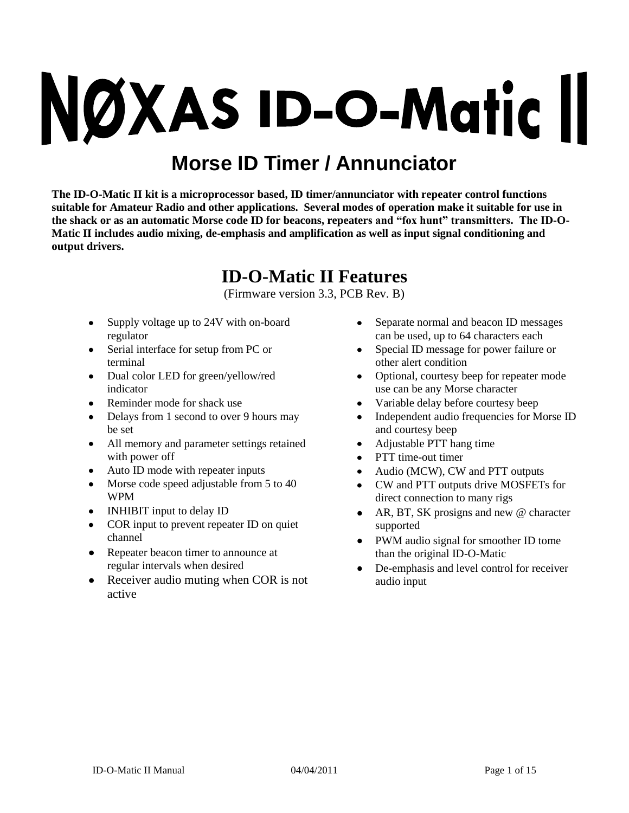# NØXAS ID-O-Matic II

# **Morse ID Timer / Annunciator**

**The ID-O-Matic II kit is a microprocessor based, ID timer/annunciator with repeater control functions suitable for Amateur Radio and other applications. Several modes of operation make it suitable for use in the shack or as an automatic Morse code ID for beacons, repeaters and "fox hunt" transmitters. The ID-O-Matic II includes audio mixing, de-emphasis and amplification as well as input signal conditioning and output drivers.**

# **ID-O-Matic II Features**

(Firmware version 3.3, PCB Rev. B)

- Supply voltage up to 24V with on-board regulator
- Serial interface for setup from PC or terminal
- Dual color LED for green/yellow/red indicator
- Reminder mode for shack use
- Delays from 1 second to over 9 hours may  $\bullet$ be set
- All memory and parameter settings retained with power off
- Auto ID mode with repeater inputs
- Morse code speed adjustable from 5 to 40 WPM
- INHIBIT input to delay ID
- COR input to prevent repeater ID on quiet channel
- Repeater beacon timer to announce at regular intervals when desired
- $\bullet$ Receiver audio muting when COR is not active
- Separate normal and beacon ID messages  $\bullet$ can be used, up to 64 characters each
- Special ID message for power failure or other alert condition
- Optional, courtesy beep for repeater mode  $\bullet$ use can be any Morse character
- Variable delay before courtesy beep
- Independent audio frequencies for Morse ID  $\bullet$ and courtesy beep
- Adjustable PTT hang time
- PTT time-out timer
- Audio (MCW), CW and PTT outputs
- CW and PTT outputs drive MOSFETs for direct connection to many rigs
- $\bullet$ AR, BT, SK prosigns and new @ character supported
- PWM audio signal for smoother ID tome than the original ID-O-Matic
- $\bullet$ De-emphasis and level control for receiver audio input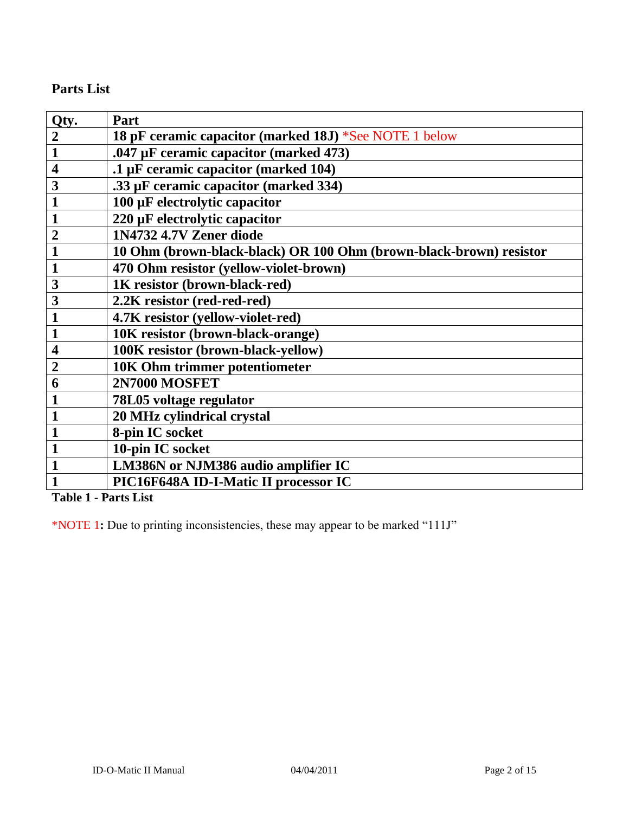# **Parts List**

| Qty.                    | Part                                                               |
|-------------------------|--------------------------------------------------------------------|
| $\boldsymbol{2}$        | 18 pF ceramic capacitor (marked 18J) *See NOTE 1 below             |
| $\mathbf{1}$            | .047 µF ceramic capacitor (marked 473)                             |
| $\overline{\mathbf{4}}$ | .1 µF ceramic capacitor (marked 104)                               |
| 3                       | .33 µF ceramic capacitor (marked 334)                              |
| $\mathbf{1}$            | 100 µF electrolytic capacitor                                      |
|                         | 220 µF electrolytic capacitor                                      |
| $\overline{2}$          | 1N4732 4.7V Zener diode                                            |
|                         | 10 Ohm (brown-black-black) OR 100 Ohm (brown-black-brown) resistor |
| $\mathbf{1}$            | 470 Ohm resistor (yellow-violet-brown)                             |
| 3                       | 1K resistor (brown-black-red)                                      |
| 3                       | 2.2K resistor (red-red-red)                                        |
| $\mathbf{1}$            | 4.7K resistor (yellow-violet-red)                                  |
| 1                       | 10K resistor (brown-black-orange)                                  |
| 4                       | 100K resistor (brown-black-yellow)                                 |
| $\overline{2}$          | 10K Ohm trimmer potentiometer                                      |
| 6                       | <b>2N7000 MOSFET</b>                                               |
|                         | 78L05 voltage regulator                                            |
|                         | 20 MHz cylindrical crystal                                         |
|                         | 8-pin IC socket                                                    |
| $\mathbf{1}$            | 10-pin IC socket                                                   |
|                         | LM386N or NJM386 audio amplifier IC                                |
|                         | PIC16F648A ID-I-Matic II processor IC                              |

**Table 1 - Parts List**

\*NOTE 1**:** Due to printing inconsistencies, these may appear to be marked "111J"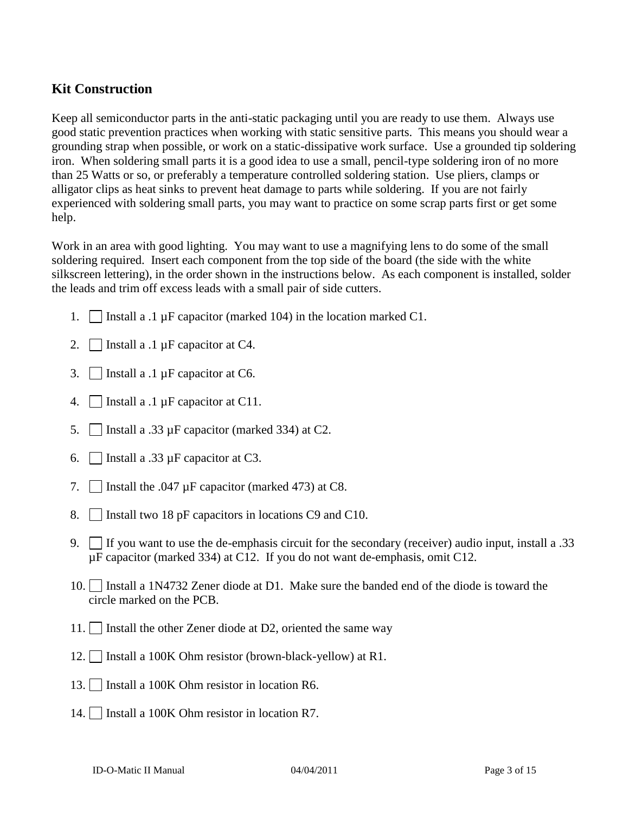# **Kit Construction**

Keep all semiconductor parts in the anti-static packaging until you are ready to use them. Always use good static prevention practices when working with static sensitive parts. This means you should wear a grounding strap when possible, or work on a static-dissipative work surface. Use a grounded tip soldering iron. When soldering small parts it is a good idea to use a small, pencil-type soldering iron of no more than 25 Watts or so, or preferably a temperature controlled soldering station. Use pliers, clamps or alligator clips as heat sinks to prevent heat damage to parts while soldering. If you are not fairly experienced with soldering small parts, you may want to practice on some scrap parts first or get some help.

Work in an area with good lighting. You may want to use a magnifying lens to do some of the small soldering required. Insert each component from the top side of the board (the side with the white silkscreen lettering), in the order shown in the instructions below. As each component is installed, solder the leads and trim off excess leads with a small pair of side cutters.

- 1. | Install a .1 µF capacitor (marked 104) in the location marked C1.
- 2. Install a .1  $\mu$ F capacitor at C4.
- 3. Install a .1  $\mu$ F capacitor at C6.
- 4. Install a .1  $\mu$ F capacitor at C11.
- 5. | | Install a .33  $\mu$ F capacitor (marked 334) at C2.
- 6. Install a .33  $\mu$ F capacitor at C3.
- 7.  $\Box$  Install the .047  $\mu$ F capacitor (marked 473) at C8.
- 8. Install two 18 pF capacitors in locations C9 and C10.
- 9. If you want to use the de-emphasis circuit for the secondary (receiver) audio input, install a  $.33$ µF capacitor (marked 334) at C12. If you do not want de-emphasis, omit C12.
- 10. Install a 1N4732 Zener diode at D1. Make sure the banded end of the diode is toward the circle marked on the PCB.
- 11. Install the other Zener diode at D2, oriented the same way
- 12. Install a 100K Ohm resistor (brown-black-yellow) at R1.
- 13. Install a 100K Ohm resistor in location R6.
- 14. | Install a 100K Ohm resistor in location R7.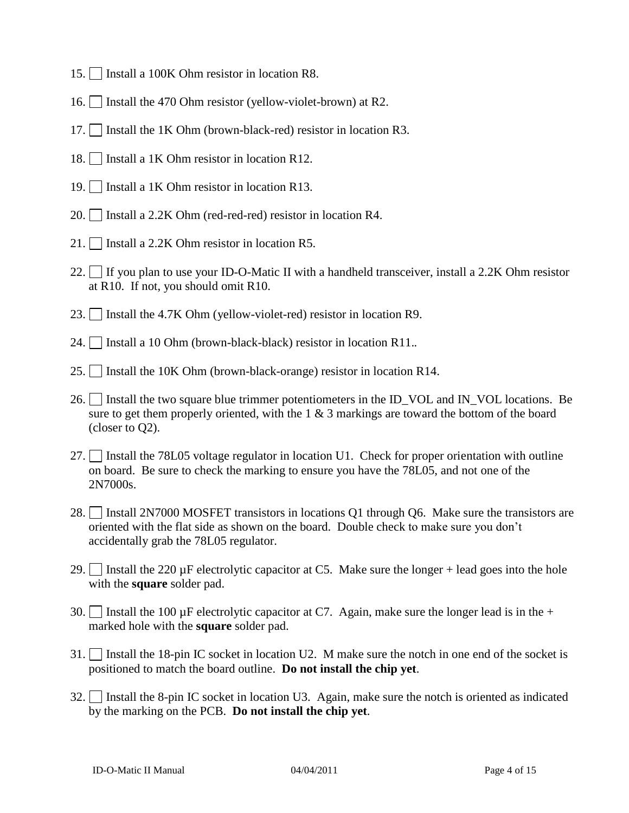- 15. Install a 100K Ohm resistor in location R8.
- 16. Install the 470 Ohm resistor (yellow-violet-brown) at R2.
- 17. Install the 1K Ohm (brown-black-red) resistor in location R3.
- 18. Install a 1K Ohm resistor in location R12.
- 19.  $\Box$  Install a 1K Ohm resistor in location R13.
- 20. Install a 2.2K Ohm (red-red-red) resistor in location R4.
- 21. Install a 2.2K Ohm resistor in location R5.
- 22. If you plan to use your ID-O-Matic II with a handheld transceiver, install a 2.2K Ohm resistor at R10. If not, you should omit R10.
- 23. Install the 4.7K Ohm (yellow-violet-red) resistor in location R9.
- 24. Install a 10 Ohm (brown-black-black) resistor in location R11.*.*
- 25. Install the 10K Ohm (brown-black-orange) resistor in location R14.
- 26. Install the two square blue trimmer potentiometers in the ID\_VOL and IN\_VOL locations. Be sure to get them properly oriented, with the  $1 \& 3$  markings are toward the bottom of the board (closer to Q2).
- 27. Install the 78L05 voltage regulator in location U1. Check for proper orientation with outline on board. Be sure to check the marking to ensure you have the 78L05, and not one of the 2N7000s.
- 28. Install 2N7000 MOSFET transistors in locations Q1 through Q6. Make sure the transistors are oriented with the flat side as shown on the board. Double check to make sure you don't accidentally grab the 78L05 regulator.
- 29. Install the 220  $\mu$ F electrolytic capacitor at C5. Make sure the longer + lead goes into the hole with the **square** solder pad.
- 30. Install the 100  $\mu$ F electrolytic capacitor at C7. Again, make sure the longer lead is in the + marked hole with the **square** solder pad.
- 31. Install the 18-pin IC socket in location U2. M make sure the notch in one end of the socket is positioned to match the board outline. **Do not install the chip yet**.
- 32. Install the 8-pin IC socket in location U3. Again, make sure the notch is oriented as indicated by the marking on the PCB. **Do not install the chip yet**.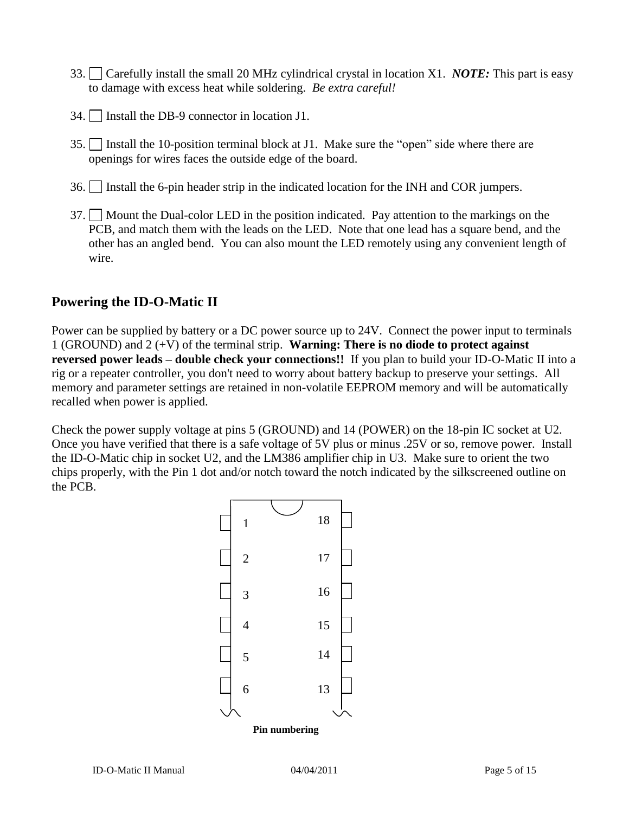- 33. Carefully install the small 20 MHz cylindrical crystal in location X1. *NOTE:* This part is easy to damage with excess heat while soldering. *Be extra careful!*
- 34. Install the DB-9 connector in location J1.
- 35. Install the 10-position terminal block at J1. Make sure the "open" side where there are openings for wires faces the outside edge of the board.
- 36. Install the 6-pin header strip in the indicated location for the INH and COR jumpers.
- 37. Mount the Dual-color LED in the position indicated. Pay attention to the markings on the PCB, and match them with the leads on the LED. Note that one lead has a square bend, and the other has an angled bend. You can also mount the LED remotely using any convenient length of wire.

#### **Powering the ID-O-Matic II**

Power can be supplied by battery or a DC power source up to 24V. Connect the power input to terminals 1 (GROUND) and 2 (+V) of the terminal strip. **Warning: There is no diode to protect against reversed power leads – double check your connections!!** If you plan to build your ID-O-Matic II into a rig or a repeater controller, you don't need to worry about battery backup to preserve your settings. All memory and parameter settings are retained in non-volatile EEPROM memory and will be automatically recalled when power is applied.

Check the power supply voltage at pins 5 (GROUND) and 14 (POWER) on the 18-pin IC socket at U2. Once you have verified that there is a safe voltage of 5V plus or minus .25V or so, remove power. Install the ID-O-Matic chip in socket U2, and the LM386 amplifier chip in U3. Make sure to orient the two chips properly, with the Pin 1 dot and/or notch toward the notch indicated by the silkscreened outline on the PCB.

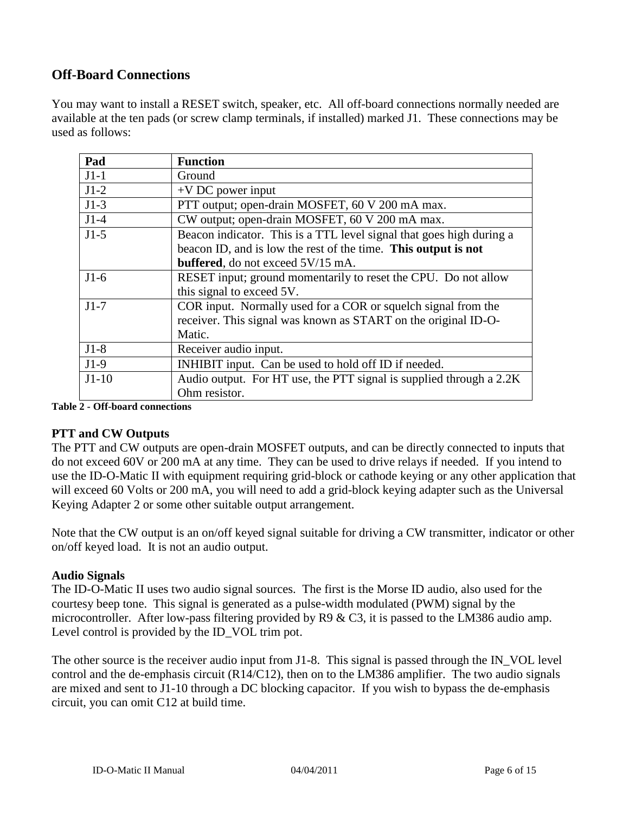# **Off-Board Connections**

You may want to install a RESET switch, speaker, etc. All off-board connections normally needed are available at the ten pads (or screw clamp terminals, if installed) marked J1. These connections may be used as follows:

| Pad     | <b>Function</b>                                                      |
|---------|----------------------------------------------------------------------|
| $J1-1$  | Ground                                                               |
| $J1-2$  | $+V$ DC power input                                                  |
| $J1-3$  | PTT output; open-drain MOSFET, 60 V 200 mA max.                      |
| $J1-4$  | CW output; open-drain MOSFET, 60 V 200 mA max.                       |
| $J1-5$  | Beacon indicator. This is a TTL level signal that goes high during a |
|         | beacon ID, and is low the rest of the time. This output is not       |
|         | <b>buffered</b> , do not exceed 5V/15 mA.                            |
| $J1-6$  | RESET input; ground momentarily to reset the CPU. Do not allow       |
|         | this signal to exceed 5V.                                            |
| $J1-7$  | COR input. Normally used for a COR or squelch signal from the        |
|         | receiver. This signal was known as START on the original ID-O-       |
|         | Matic.                                                               |
| $J1-8$  | Receiver audio input.                                                |
| $J1-9$  | INHIBIT input. Can be used to hold off ID if needed.                 |
| $J1-10$ | Audio output. For HT use, the PTT signal is supplied through a 2.2K  |
|         | Ohm resistor.                                                        |

**Table 2 - Off-board connections**

#### **PTT and CW Outputs**

The PTT and CW outputs are open-drain MOSFET outputs, and can be directly connected to inputs that do not exceed 60V or 200 mA at any time. They can be used to drive relays if needed. If you intend to use the ID-O-Matic II with equipment requiring grid-block or cathode keying or any other application that will exceed 60 Volts or 200 mA, you will need to add a grid-block keying adapter such as the Universal Keying Adapter 2 or some other suitable output arrangement.

Note that the CW output is an on/off keyed signal suitable for driving a CW transmitter, indicator or other on/off keyed load. It is not an audio output.

#### **Audio Signals**

The ID-O-Matic II uses two audio signal sources. The first is the Morse ID audio, also used for the courtesy beep tone. This signal is generated as a pulse-width modulated (PWM) signal by the microcontroller. After low-pass filtering provided by R9 & C3, it is passed to the LM386 audio amp. Level control is provided by the ID\_VOL trim pot.

The other source is the receiver audio input from J1-8. This signal is passed through the IN\_VOL level control and the de-emphasis circuit (R14/C12), then on to the LM386 amplifier. The two audio signals are mixed and sent to J1-10 through a DC blocking capacitor. If you wish to bypass the de-emphasis circuit, you can omit C12 at build time.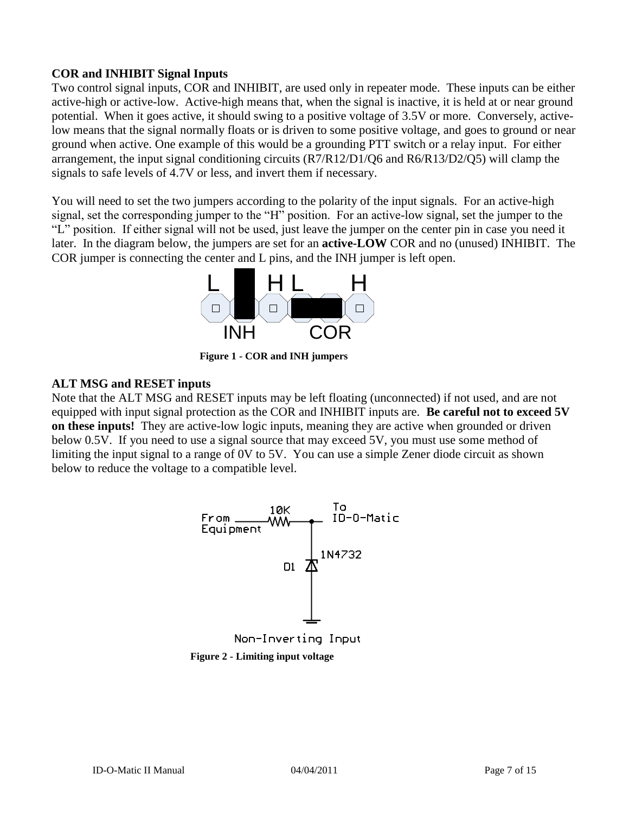#### **COR and INHIBIT Signal Inputs**

Two control signal inputs, COR and INHIBIT, are used only in repeater mode. These inputs can be either active-high or active-low. Active-high means that, when the signal is inactive, it is held at or near ground potential. When it goes active, it should swing to a positive voltage of 3.5V or more. Conversely, activelow means that the signal normally floats or is driven to some positive voltage, and goes to ground or near ground when active. One example of this would be a grounding PTT switch or a relay input. For either arrangement, the input signal conditioning circuits (R7/R12/D1/Q6 and R6/R13/D2/Q5) will clamp the signals to safe levels of 4.7V or less, and invert them if necessary.

You will need to set the two jumpers according to the polarity of the input signals. For an active-high signal, set the corresponding jumper to the "H" position. For an active-low signal, set the jumper to the "L" position. If either signal will not be used, just leave the jumper on the center pin in case you need it later. In the diagram below, the jumpers are set for an **active-LOW** COR and no (unused) INHIBIT. The COR jumper is connecting the center and L pins, and the INH jumper is left open.



**Figure 1 - COR and INH jumpers**

#### **ALT MSG and RESET inputs**

Note that the ALT MSG and RESET inputs may be left floating (unconnected) if not used, and are not equipped with input signal protection as the COR and INHIBIT inputs are. **Be careful not to exceed 5V on these inputs!** They are active-low logic inputs, meaning they are active when grounded or driven below 0.5V. If you need to use a signal source that may exceed 5V, you must use some method of limiting the input signal to a range of 0V to 5V. You can use a simple Zener diode circuit as shown below to reduce the voltage to a compatible level.



**Figure 2 - Limiting input voltage**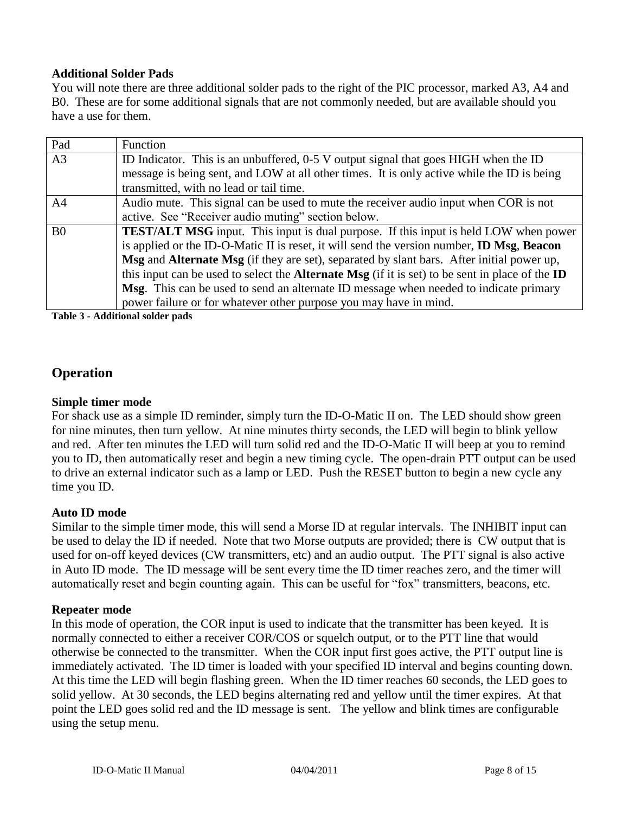#### **Additional Solder Pads**

You will note there are three additional solder pads to the right of the PIC processor, marked A3, A4 and B0. These are for some additional signals that are not commonly needed, but are available should you have a use for them.

| Pad            | Function                                                                                                      |
|----------------|---------------------------------------------------------------------------------------------------------------|
| A <sub>3</sub> | ID Indicator. This is an unbuffered, 0-5 V output signal that goes HIGH when the ID                           |
|                | message is being sent, and LOW at all other times. It is only active while the ID is being                    |
|                | transmitted, with no lead or tail time.                                                                       |
| A <sup>4</sup> | Audio mute. This signal can be used to mute the receiver audio input when COR is not                          |
|                | active. See "Receiver audio muting" section below.                                                            |
| B <sub>0</sub> | <b>TEST/ALT MSG</b> input. This input is dual purpose. If this input is held LOW when power                   |
|                | is applied or the ID-O-Matic II is reset, it will send the version number, <b>ID Msg</b> , Beacon             |
|                | Msg and Alternate Msg (if they are set), separated by slant bars. After initial power up,                     |
|                | this input can be used to select the <b>Alternate Msg</b> (if it is set) to be sent in place of the <b>ID</b> |
|                | Msg. This can be used to send an alternate ID message when needed to indicate primary                         |
|                | power failure or for whatever other purpose you may have in mind.                                             |

**Table 3 - Additional solder pads**

# **Operation**

#### **Simple timer mode**

For shack use as a simple ID reminder, simply turn the ID-O-Matic II on. The LED should show green for nine minutes, then turn yellow. At nine minutes thirty seconds, the LED will begin to blink yellow and red. After ten minutes the LED will turn solid red and the ID-O-Matic II will beep at you to remind you to ID, then automatically reset and begin a new timing cycle. The open-drain PTT output can be used to drive an external indicator such as a lamp or LED. Push the RESET button to begin a new cycle any time you ID.

#### **Auto ID mode**

Similar to the simple timer mode, this will send a Morse ID at regular intervals. The INHIBIT input can be used to delay the ID if needed. Note that two Morse outputs are provided; there is CW output that is used for on-off keyed devices (CW transmitters, etc) and an audio output. The PTT signal is also active in Auto ID mode. The ID message will be sent every time the ID timer reaches zero, and the timer will automatically reset and begin counting again. This can be useful for "fox" transmitters, beacons, etc.

#### **Repeater mode**

In this mode of operation, the COR input is used to indicate that the transmitter has been keyed. It is normally connected to either a receiver COR/COS or squelch output, or to the PTT line that would otherwise be connected to the transmitter. When the COR input first goes active, the PTT output line is immediately activated. The ID timer is loaded with your specified ID interval and begins counting down. At this time the LED will begin flashing green. When the ID timer reaches 60 seconds, the LED goes to solid yellow. At 30 seconds, the LED begins alternating red and yellow until the timer expires. At that point the LED goes solid red and the ID message is sent. The yellow and blink times are configurable using the setup menu.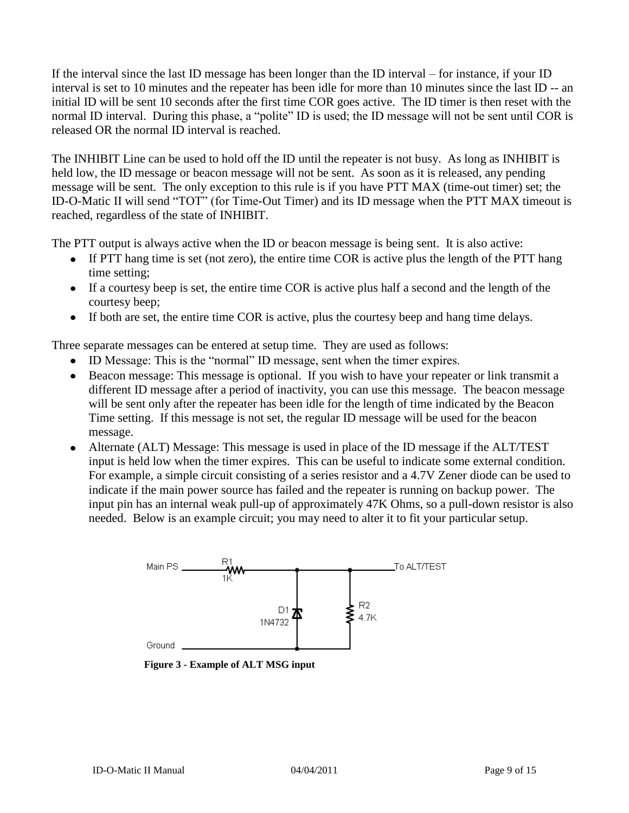If the interval since the last ID message has been longer than the ID interval – for instance, if your ID interval is set to 10 minutes and the repeater has been idle for more than 10 minutes since the last ID -- an initial ID will be sent 10 seconds after the first time COR goes active. The ID timer is then reset with the normal ID interval. During this phase, a "polite" ID is used; the ID message will not be sent until COR is released OR the normal ID interval is reached.

The INHIBIT Line can be used to hold off the ID until the repeater is not busy. As long as INHIBIT is held low, the ID message or beacon message will not be sent. As soon as it is released, any pending message will be sent. The only exception to this rule is if you have PTT MAX (time-out timer) set; the ID-O-Matic II will send "TOT" (for Time-Out Timer) and its ID message when the PTT MAX timeout is reached, regardless of the state of INHIBIT.

The PTT output is always active when the ID or beacon message is being sent. It is also active:

- If PTT hang time is set (not zero), the entire time COR is active plus the length of the PTT hang time setting;
- If a courtesy beep is set, the entire time COR is active plus half a second and the length of the courtesy beep;
- If both are set, the entire time COR is active, plus the courtesy beep and hang time delays.

Three separate messages can be entered at setup time. They are used as follows:

- ID Message: This is the "normal" ID message, sent when the timer expires.
- Beacon message: This message is optional. If you wish to have your repeater or link transmit a different ID message after a period of inactivity, you can use this message. The beacon message will be sent only after the repeater has been idle for the length of time indicated by the Beacon Time setting. If this message is not set, the regular ID message will be used for the beacon message.
- Alternate (ALT) Message: This message is used in place of the ID message if the ALT/TEST input is held low when the timer expires. This can be useful to indicate some external condition. For example, a simple circuit consisting of a series resistor and a 4.7V Zener diode can be used to indicate if the main power source has failed and the repeater is running on backup power. The input pin has an internal weak pull-up of approximately 47K Ohms, so a pull-down resistor is also needed. Below is an example circuit; you may need to alter it to fit your particular setup.



**Figure 3 - Example of ALT MSG input**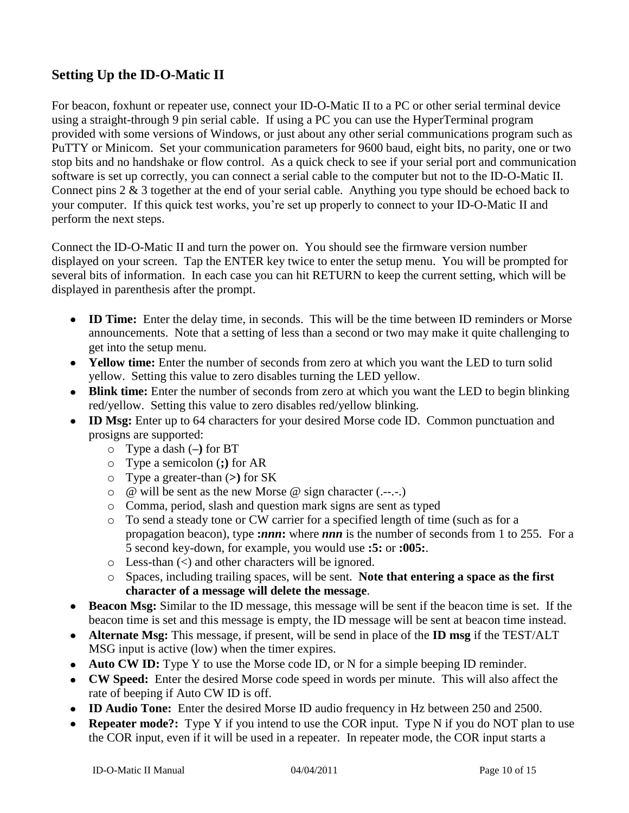# **Setting Up the ID-O-Matic II**

For beacon, foxhunt or repeater use, connect your ID-O-Matic II to a PC or other serial terminal device using a straight-through 9 pin serial cable. If using a PC you can use the HyperTerminal program provided with some versions of Windows, or just about any other serial communications program such as PuTTY or Minicom. Set your communication parameters for 9600 baud, eight bits, no parity, one or two stop bits and no handshake or flow control. As a quick check to see if your serial port and communication software is set up correctly, you can connect a serial cable to the computer but not to the ID-O-Matic II. Connect pins 2 & 3 together at the end of your serial cable. Anything you type should be echoed back to your computer. If this quick test works, you're set up properly to connect to your ID-O-Matic II and perform the next steps.

Connect the ID-O-Matic II and turn the power on. You should see the firmware version number displayed on your screen. Tap the ENTER key twice to enter the setup menu. You will be prompted for several bits of information. In each case you can hit RETURN to keep the current setting, which will be displayed in parenthesis after the prompt.

- **ID Time:** Enter the delay time, in seconds. This will be the time between ID reminders or Morse announcements. Note that a setting of less than a second or two may make it quite challenging to get into the setup menu.
- **Yellow time:** Enter the number of seconds from zero at which you want the LED to turn solid yellow. Setting this value to zero disables turning the LED yellow.
- **Blink time:** Enter the number of seconds from zero at which you want the LED to begin blinking red/yellow. Setting this value to zero disables red/yellow blinking.
- **ID Msg:** Enter up to 64 characters for your desired Morse code ID. Common punctuation and prosigns are supported:
	- o Type a dash (**–)** for BT
	- o Type a semicolon (**;)** for AR
	- o Type a greater-than (**>)** for SK
	- o @ will be sent as the new Morse @ sign character (.--.-.)
	- o Comma, period, slash and question mark signs are sent as typed
	- o To send a steady tone or CW carrier for a specified length of time (such as for a propagation beacon), type **:***nnn***:** where *nnn* is the number of seconds from 1 to 255. For a 5 second key-down, for example, you would use **:5:** or **:005:**.
	- $\circ$  Less-than  $\leq$  and other characters will be ignored.
	- o Spaces, including trailing spaces, will be sent. **Note that entering a space as the first character of a message will delete the message**.
- **Beacon Msg:** Similar to the ID message, this message will be sent if the beacon time is set. If the beacon time is set and this message is empty, the ID message will be sent at beacon time instead.
- **Alternate Msg:** This message, if present, will be send in place of the **ID msg** if the TEST/ALT MSG input is active (low) when the timer expires.
- **Auto CW ID:** Type Y to use the Morse code ID, or N for a simple beeping ID reminder.
- **CW Speed:** Enter the desired Morse code speed in words per minute. This will also affect the  $\bullet$ rate of beeping if Auto CW ID is off.
- **ID Audio Tone:** Enter the desired Morse ID audio frequency in Hz between 250 and 2500.
- **Repeater mode?:** Type Y if you intend to use the COR input. Type N if you do NOT plan to use the COR input, even if it will be used in a repeater. In repeater mode, the COR input starts a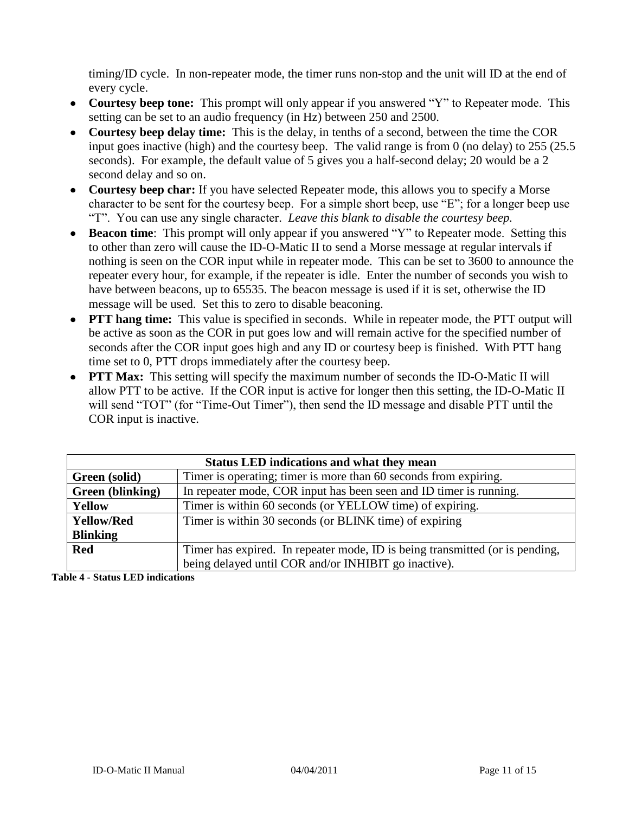timing/ID cycle. In non-repeater mode, the timer runs non-stop and the unit will ID at the end of every cycle.

- **Courtesy beep tone:** This prompt will only appear if you answered "Y" to Repeater mode. This setting can be set to an audio frequency (in Hz) between 250 and 2500.
- **Courtesy beep delay time:** This is the delay, in tenths of a second, between the time the COR input goes inactive (high) and the courtesy beep. The valid range is from 0 (no delay) to 255 (25.5 seconds). For example, the default value of 5 gives you a half-second delay; 20 would be a 2 second delay and so on.
- **Courtesy beep char:** If you have selected Repeater mode, this allows you to specify a Morse character to be sent for the courtesy beep. For a simple short beep, use "E"; for a longer beep use "T". You can use any single character. *Leave this blank to disable the courtesy beep.*
- **Beacon time**: This prompt will only appear if you answered "Y" to Repeater mode. Setting this to other than zero will cause the ID-O-Matic II to send a Morse message at regular intervals if nothing is seen on the COR input while in repeater mode. This can be set to 3600 to announce the repeater every hour, for example, if the repeater is idle. Enter the number of seconds you wish to have between beacons, up to 65535. The beacon message is used if it is set, otherwise the ID message will be used. Set this to zero to disable beaconing.
- **PTT hang time:** This value is specified in seconds. While in repeater mode, the PTT output will be active as soon as the COR in put goes low and will remain active for the specified number of seconds after the COR input goes high and any ID or courtesy beep is finished. With PTT hang time set to 0, PTT drops immediately after the courtesy beep.
- **PTT Max:** This setting will specify the maximum number of seconds the ID-O-Matic II will allow PTT to be active. If the COR input is active for longer then this setting, the ID-O-Matic II will send "TOT" (for "Time-Out Timer"), then send the ID message and disable PTT until the COR input is inactive.

| <b>Status LED indications and what they mean</b> |                                                                              |  |  |  |
|--------------------------------------------------|------------------------------------------------------------------------------|--|--|--|
| Green (solid)                                    | Timer is operating; timer is more than 60 seconds from expiring.             |  |  |  |
| Green (blinking)                                 | In repeater mode, COR input has been seen and ID timer is running.           |  |  |  |
| Yellow                                           | Timer is within 60 seconds (or YELLOW time) of expiring.                     |  |  |  |
| <b>Yellow/Red</b>                                | Timer is within 30 seconds (or BLINK time) of expiring                       |  |  |  |
| <b>Blinking</b>                                  |                                                                              |  |  |  |
| <b>Red</b>                                       | Timer has expired. In repeater mode, ID is being transmitted (or is pending, |  |  |  |
|                                                  | being delayed until COR and/or INHIBIT go inactive).                         |  |  |  |

**Table 4 - Status LED indications**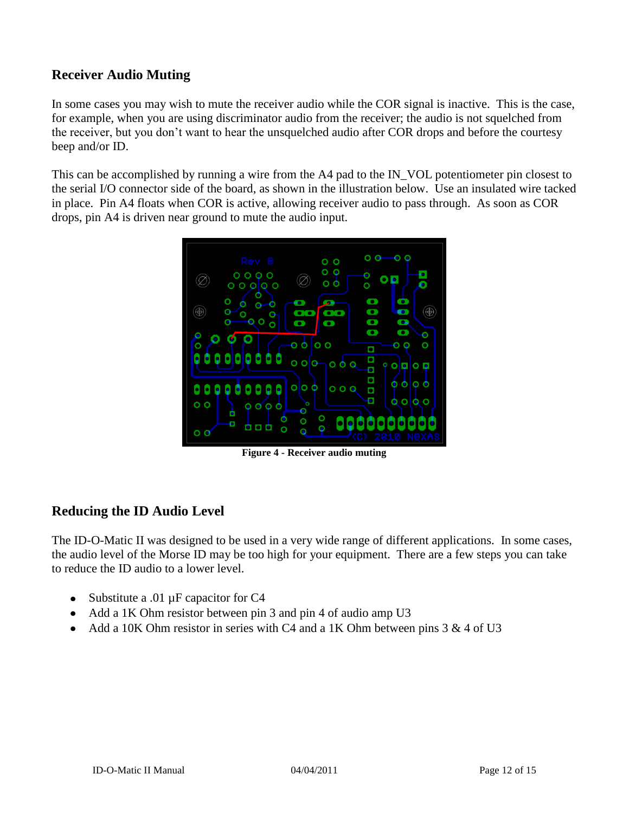# **Receiver Audio Muting**

In some cases you may wish to mute the receiver audio while the COR signal is inactive. This is the case, for example, when you are using discriminator audio from the receiver; the audio is not squelched from the receiver, but you don't want to hear the unsquelched audio after COR drops and before the courtesy beep and/or ID.

This can be accomplished by running a wire from the A4 pad to the IN\_VOL potentiometer pin closest to the serial I/O connector side of the board, as shown in the illustration below. Use an insulated wire tacked in place. Pin A4 floats when COR is active, allowing receiver audio to pass through. As soon as COR drops, pin A4 is driven near ground to mute the audio input.



**Figure 4 - Receiver audio muting**

### **Reducing the ID Audio Level**

The ID-O-Matic II was designed to be used in a very wide range of different applications. In some cases, the audio level of the Morse ID may be too high for your equipment. There are a few steps you can take to reduce the ID audio to a lower level.

- Substitute a .01  $\mu$ F capacitor for C4
- Add a 1K Ohm resistor between pin 3 and pin 4 of audio amp U3
- Add a 10K Ohm resistor in series with C4 and a 1K Ohm between pins  $3 & 4$  of U3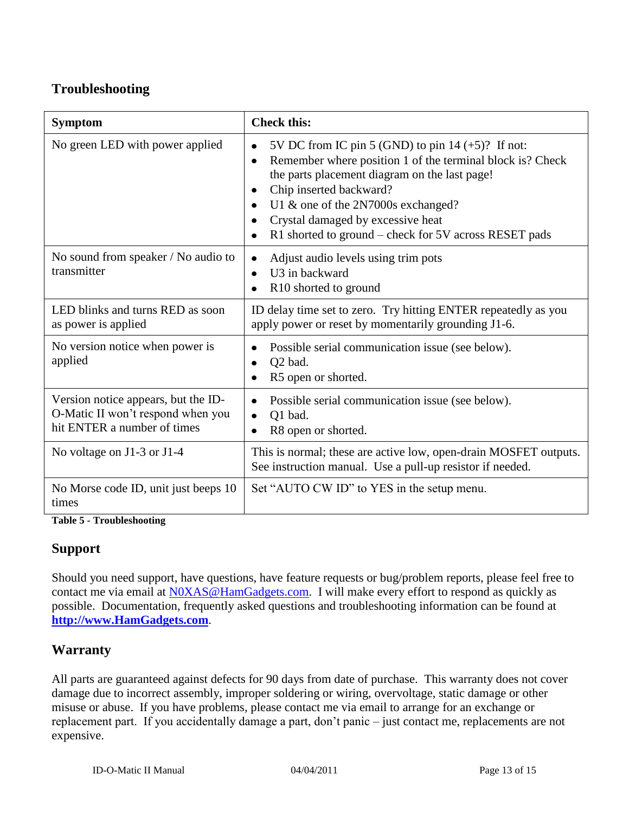# **Troubleshooting**

| <b>Symptom</b>                                                                                          | <b>Check this:</b>                                                                                                                                                                                                                                                                                                                |
|---------------------------------------------------------------------------------------------------------|-----------------------------------------------------------------------------------------------------------------------------------------------------------------------------------------------------------------------------------------------------------------------------------------------------------------------------------|
| No green LED with power applied                                                                         | 5V DC from IC pin 5 (GND) to pin $14 (+5)$ ? If not:<br>Remember where position 1 of the terminal block is? Check<br>the parts placement diagram on the last page!<br>Chip inserted backward?<br>U1 & one of the 2N7000s exchanged?<br>Crystal damaged by excessive heat<br>R1 shorted to ground – check for 5V across RESET pads |
| No sound from speaker / No audio to<br>transmitter                                                      | Adjust audio levels using trim pots<br>U3 in backward<br>R <sub>10</sub> shorted to ground                                                                                                                                                                                                                                        |
| LED blinks and turns RED as soon<br>as power is applied                                                 | ID delay time set to zero. Try hitting ENTER repeatedly as you<br>apply power or reset by momentarily grounding J1-6.                                                                                                                                                                                                             |
| No version notice when power is<br>applied                                                              | Possible serial communication issue (see below).<br>Q2 bad.<br>R5 open or shorted.                                                                                                                                                                                                                                                |
| Version notice appears, but the ID-<br>O-Matic II won't respond when you<br>hit ENTER a number of times | Possible serial communication issue (see below).<br>Q1 bad.<br>R8 open or shorted.                                                                                                                                                                                                                                                |
| No voltage on J1-3 or J1-4                                                                              | This is normal; these are active low, open-drain MOSFET outputs.<br>See instruction manual. Use a pull-up resistor if needed.                                                                                                                                                                                                     |
| No Morse code ID, unit just beeps 10<br>times                                                           | Set "AUTO CW ID" to YES in the setup menu.                                                                                                                                                                                                                                                                                        |

**Table 5 - Troubleshooting**

### **Support**

Should you need support, have questions, have feature requests or bug/problem reports, please feel free to contact me via email at [N0XAS@HamGadgets.com.](mailto:n0xas@hamgadgets.com) I will make every effort to respond as quickly as possible. Documentation, frequently asked questions and troubleshooting information can be found at **[http://www.HamGadgets.com](http://www.hamgadgets.com/)**.

### **Warranty**

All parts are guaranteed against defects for 90 days from date of purchase. This warranty does not cover damage due to incorrect assembly, improper soldering or wiring, overvoltage, static damage or other misuse or abuse. If you have problems, please contact me via email to arrange for an exchange or replacement part. If you accidentally damage a part, don't panic – just contact me, replacements are not expensive.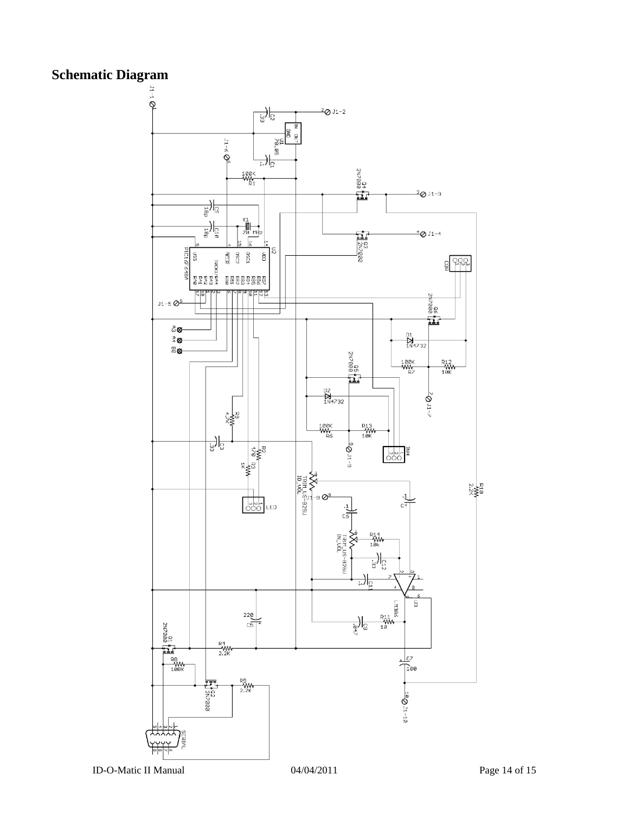# **Schematic Diagram**



ID-O-Matic II Manual 04/04/2011 Page 14 of 15